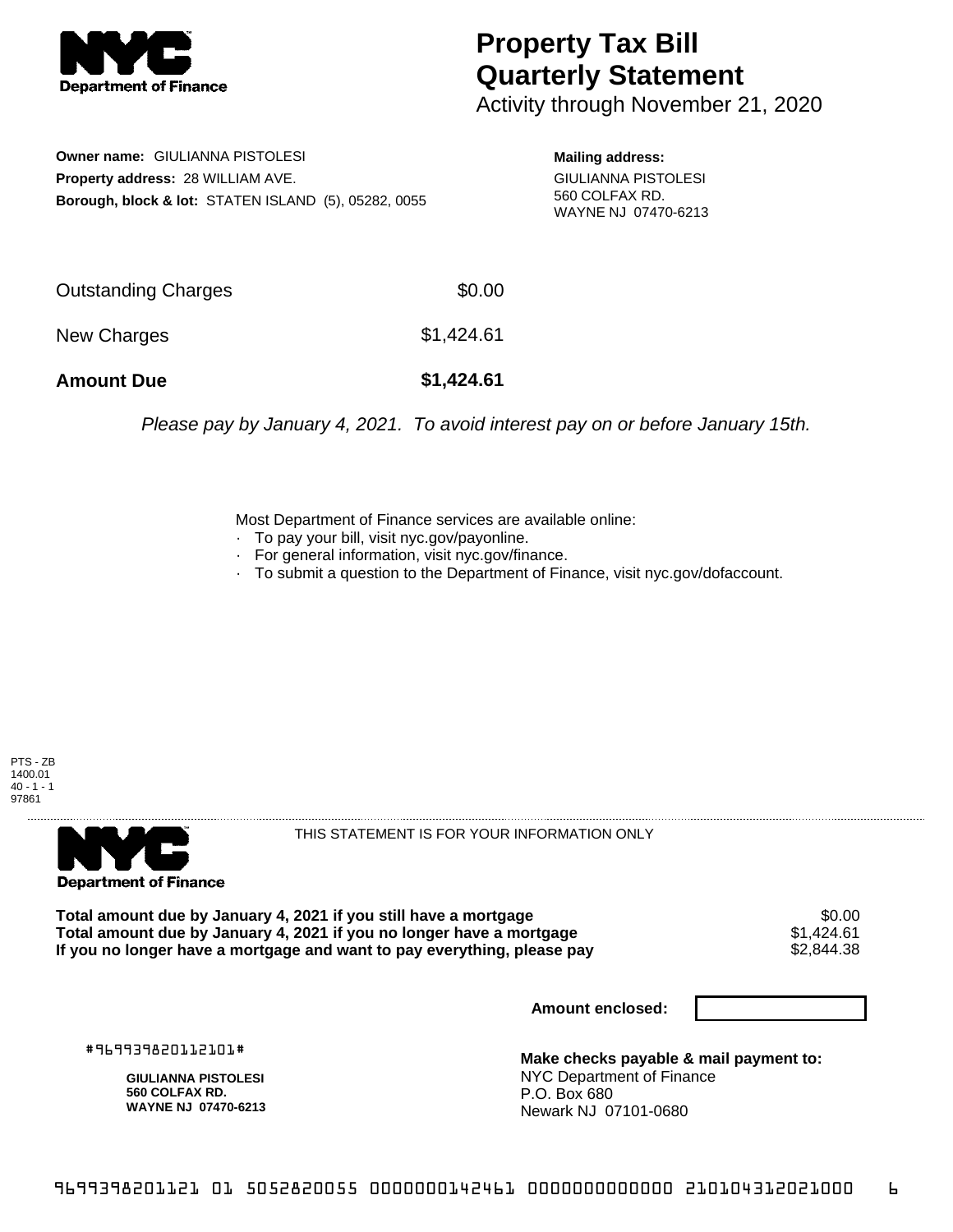

## **Property Tax Bill Quarterly Statement**

Activity through November 21, 2020

**Owner name:** GIULIANNA PISTOLESI **Property address:** 28 WILLIAM AVE. **Borough, block & lot:** STATEN ISLAND (5), 05282, 0055

**Mailing address:** GIULIANNA PISTOLESI 560 COLFAX RD. WAYNE NJ 07470-6213

| <b>Amount Due</b>   | \$1,424.61 |
|---------------------|------------|
| New Charges         | \$1,424.61 |
| Outstanding Charges | \$0.00     |

Please pay by January 4, 2021. To avoid interest pay on or before January 15th.

Most Department of Finance services are available online:

- · To pay your bill, visit nyc.gov/payonline.
- For general information, visit nyc.gov/finance.
- · To submit a question to the Department of Finance, visit nyc.gov/dofaccount.





THIS STATEMENT IS FOR YOUR INFORMATION ONLY

Total amount due by January 4, 2021 if you still have a mortgage \$0.00<br>Total amount due by January 4, 2021 if you no longer have a mortgage \$1.424.61 **Total amount due by January 4, 2021 if you no longer have a mortgage**  $$1,424.61$ **<br>If you no longer have a mortgage and want to pay everything, please pay**  $$2,844.38$ If you no longer have a mortgage and want to pay everything, please pay

**Amount enclosed:**

#969939820112101#

**GIULIANNA PISTOLESI 560 COLFAX RD. WAYNE NJ 07470-6213**

**Make checks payable & mail payment to:** NYC Department of Finance P.O. Box 680 Newark NJ 07101-0680